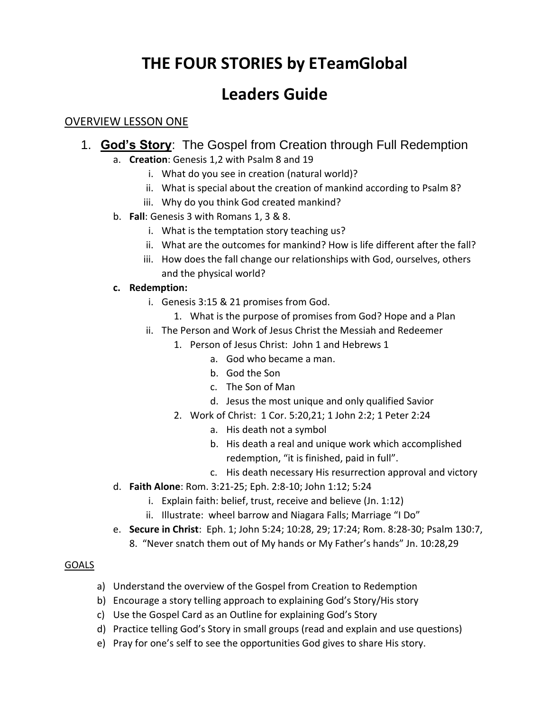# **THE FOUR STORIES by ETeamGlobal**

# **Leaders Guide**

## OVERVIEW LESSON ONE

- 1. **God's Story**: The Gospel from Creation through Full Redemption
	- a. **Creation**: Genesis 1,2 with Psalm 8 and 19
		- i. What do you see in creation (natural world)?
		- ii. What is special about the creation of mankind according to Psalm 8?
		- iii. Why do you think God created mankind?
	- b. **Fall**: Genesis 3 with Romans 1, 3 & 8.
		- i. What is the temptation story teaching us?
		- ii. What are the outcomes for mankind? How is life different after the fall?
		- iii. How does the fall change our relationships with God, ourselves, others and the physical world?

### **c. Redemption:**

- i. Genesis 3:15 & 21 promises from God.
	- 1. What is the purpose of promises from God? Hope and a Plan
- ii. The Person and Work of Jesus Christ the Messiah and Redeemer
	- 1. Person of Jesus Christ: John 1 and Hebrews 1
		- a. God who became a man.
		- b. God the Son
		- c. The Son of Man
		- d. Jesus the most unique and only qualified Savior
	- 2. Work of Christ: 1 Cor. 5:20,21; 1 John 2:2; 1 Peter 2:24
		- a. His death not a symbol
		- b. His death a real and unique work which accomplished redemption, "it is finished, paid in full".
		- c. His death necessary His resurrection approval and victory
- d. **Faith Alone**: Rom. 3:21-25; Eph. 2:8-10; John 1:12; 5:24
	- i. Explain faith: belief, trust, receive and believe (Jn. 1:12)
	- ii. Illustrate: wheel barrow and Niagara Falls; Marriage "I Do"
- e. **Secure in Christ**: Eph. 1; John 5:24; 10:28, 29; 17:24; Rom. 8:28-30; Psalm 130:7,
	- 8. "Never snatch them out of My hands or My Father's hands" Jn. 10:28,29

### GOALS

- a) Understand the overview of the Gospel from Creation to Redemption
- b) Encourage a story telling approach to explaining God's Story/His story
- c) Use the Gospel Card as an Outline for explaining God's Story
- d) Practice telling God's Story in small groups (read and explain and use questions)
- e) Pray for one's self to see the opportunities God gives to share His story.